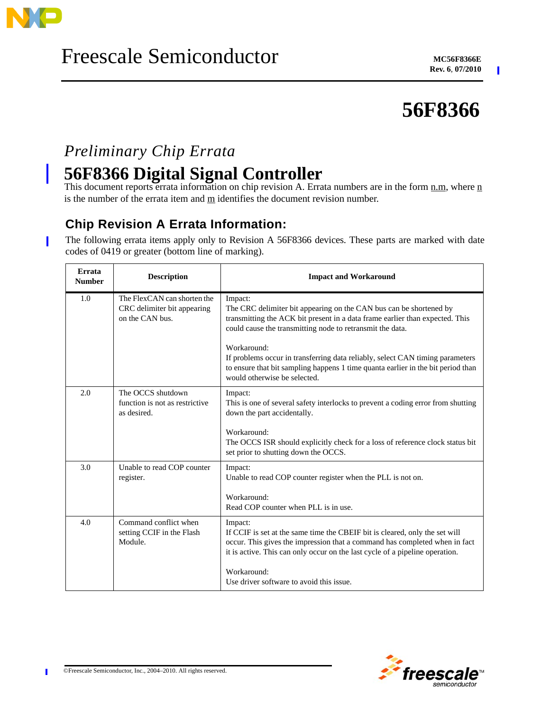

L

Π

 $\blacksquare$ 

# **56F8366**

# *Preliminary Chip Errata*

# **56F8366 Digital Signal Controller**

This document reports errata information on chip revision A. Errata numbers are in the form  $\underline{n}.\underline{m}$ , where  $\underline{n}$ is the number of the errata item and m identifies the document revision number.

#### **Chip Revision A Errata Information:**

The following errata items apply only to Revision A 56F8366 devices. These parts are marked with date codes of 0419 or greater (bottom line of marking).

| Errata<br><b>Number</b> | <b>Description</b>                                                            | <b>Impact and Workaround</b>                                                                                                                                                                                                                         |
|-------------------------|-------------------------------------------------------------------------------|------------------------------------------------------------------------------------------------------------------------------------------------------------------------------------------------------------------------------------------------------|
| 1.0                     | The FlexCAN can shorten the<br>CRC delimiter bit appearing<br>on the CAN bus. | Impact:<br>The CRC delimiter bit appearing on the CAN bus can be shortened by<br>transmitting the ACK bit present in a data frame earlier than expected. This<br>could cause the transmitting node to retransmit the data.                           |
|                         |                                                                               | Workaround:<br>If problems occur in transferring data reliably, select CAN timing parameters<br>to ensure that bit sampling happens 1 time quanta earlier in the bit period than<br>would otherwise be selected.                                     |
| 2.0                     | The OCCS shutdown<br>function is not as restrictive<br>as desired.            | Impact:<br>This is one of several safety interlocks to prevent a coding error from shutting<br>down the part accidentally.                                                                                                                           |
|                         |                                                                               | Workaround:<br>The OCCS ISR should explicitly check for a loss of reference clock status bit<br>set prior to shutting down the OCCS.                                                                                                                 |
| 3.0                     | Unable to read COP counter<br>register.                                       | Impact:<br>Unable to read COP counter register when the PLL is not on.                                                                                                                                                                               |
|                         |                                                                               | Workaround:<br>Read COP counter when PLL is in use.                                                                                                                                                                                                  |
| 4.0                     | Command conflict when<br>setting CCIF in the Flash<br>Module.                 | Impact:<br>If CCIF is set at the same time the CBEIF bit is cleared, only the set will<br>occur. This gives the impression that a command has completed when in fact<br>it is active. This can only occur on the last cycle of a pipeline operation. |
|                         |                                                                               | Workaround:<br>Use driver software to avoid this issue.                                                                                                                                                                                              |

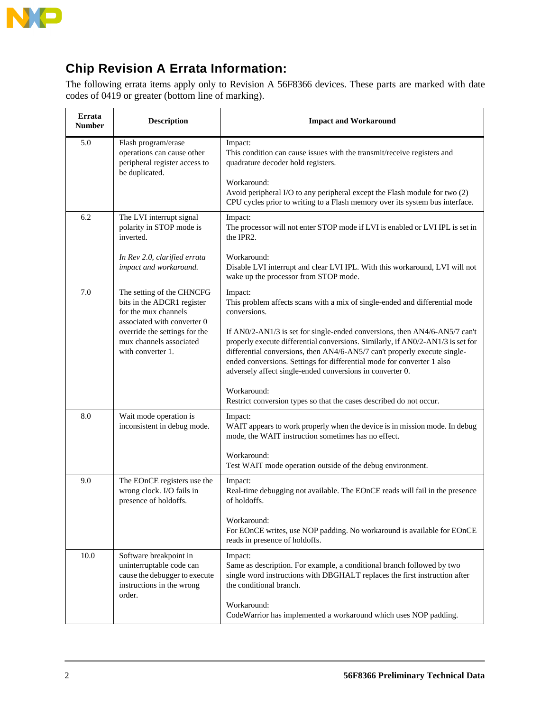

The following errata items apply only to Revision A 56F8366 devices. These parts are marked with date codes of 0419 or greater (bottom line of marking).

| Errata<br><b>Number</b> | <b>Description</b>                                                                                                         | <b>Impact and Workaround</b>                                                                                                                                                                                                                                                                                                                                                      |
|-------------------------|----------------------------------------------------------------------------------------------------------------------------|-----------------------------------------------------------------------------------------------------------------------------------------------------------------------------------------------------------------------------------------------------------------------------------------------------------------------------------------------------------------------------------|
| 5.0                     | Flash program/erase<br>operations can cause other<br>peripheral register access to<br>be duplicated.                       | Impact:<br>This condition can cause issues with the transmit/receive registers and<br>quadrature decoder hold registers.                                                                                                                                                                                                                                                          |
|                         |                                                                                                                            | Workaround:<br>Avoid peripheral I/O to any peripheral except the Flash module for two (2)<br>CPU cycles prior to writing to a Flash memory over its system bus interface.                                                                                                                                                                                                         |
| 6.2                     | The LVI interrupt signal<br>polarity in STOP mode is<br>inverted.                                                          | Impact:<br>The processor will not enter STOP mode if LVI is enabled or LVI IPL is set in<br>the IPR2.                                                                                                                                                                                                                                                                             |
|                         | In Rev 2.0, clarified errata<br>impact and workaround.                                                                     | Workaround:<br>Disable LVI interrupt and clear LVI IPL. With this workaround, LVI will not<br>wake up the processor from STOP mode.                                                                                                                                                                                                                                               |
| 7.0                     | The setting of the CHNCFG<br>bits in the ADCR1 register<br>for the mux channels<br>associated with converter 0             | Impact:<br>This problem affects scans with a mix of single-ended and differential mode<br>conversions.                                                                                                                                                                                                                                                                            |
|                         | override the settings for the<br>mux channels associated<br>with converter 1.                                              | If AN0/2-AN1/3 is set for single-ended conversions, then AN4/6-AN5/7 can't<br>properly execute differential conversions. Similarly, if AN0/2-AN1/3 is set for<br>differential conversions, then AN4/6-AN5/7 can't properly execute single-<br>ended conversions. Settings for differential mode for converter 1 also<br>adversely affect single-ended conversions in converter 0. |
|                         |                                                                                                                            | Workaround:<br>Restrict conversion types so that the cases described do not occur.                                                                                                                                                                                                                                                                                                |
| 8.0                     | Wait mode operation is<br>inconsistent in debug mode.                                                                      | Impact:<br>WAIT appears to work properly when the device is in mission mode. In debug<br>mode, the WAIT instruction sometimes has no effect.                                                                                                                                                                                                                                      |
|                         |                                                                                                                            | Workaround:<br>Test WAIT mode operation outside of the debug environment.                                                                                                                                                                                                                                                                                                         |
| 9.0                     | The EOnCE registers use the<br>wrong clock. I/O fails in<br>presence of holdoffs.                                          | Impact:<br>Real-time debugging not available. The EOnCE reads will fail in the presence<br>of holdoffs.                                                                                                                                                                                                                                                                           |
|                         |                                                                                                                            | Workaround:<br>For EOnCE writes, use NOP padding. No workaround is available for EOnCE<br>reads in presence of holdoffs.                                                                                                                                                                                                                                                          |
| 10.0                    | Software breakpoint in<br>uninterruptable code can<br>cause the debugger to execute<br>instructions in the wrong<br>order. | Impact:<br>Same as description. For example, a conditional branch followed by two<br>single word instructions with DBGHALT replaces the first instruction after<br>the conditional branch.                                                                                                                                                                                        |
|                         |                                                                                                                            | Workaround:<br>CodeWarrior has implemented a workaround which uses NOP padding.                                                                                                                                                                                                                                                                                                   |

 $\overline{\phantom{0}}$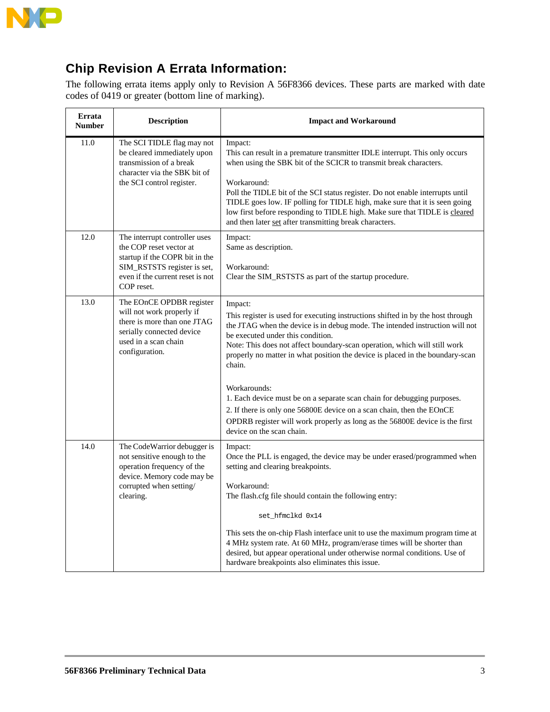

 $\blacksquare$ 

### **Chip Revision A Errata Information:**

The following errata items apply only to Revision A 56F8366 devices. These parts are marked with date codes of 0419 or greater (bottom line of marking).

| Errata<br><b>Number</b> | <b>Description</b>                                                                                                                                                          | <b>Impact and Workaround</b>                                                                                                                                                                                                                                                                                                                                                                                                                                                                                     |
|-------------------------|-----------------------------------------------------------------------------------------------------------------------------------------------------------------------------|------------------------------------------------------------------------------------------------------------------------------------------------------------------------------------------------------------------------------------------------------------------------------------------------------------------------------------------------------------------------------------------------------------------------------------------------------------------------------------------------------------------|
| 11.0                    | The SCI TIDLE flag may not<br>be cleared immediately upon<br>transmission of a break<br>character via the SBK bit of<br>the SCI control register.                           | Impact:<br>This can result in a premature transmitter IDLE interrupt. This only occurs<br>when using the SBK bit of the SCICR to transmit break characters.<br>Workaround:<br>Poll the TIDLE bit of the SCI status register. Do not enable interrupts until<br>TIDLE goes low. IF polling for TIDLE high, make sure that it is seen going<br>low first before responding to TIDLE high. Make sure that TIDLE is cleared<br>and then later set after transmitting break characters.                               |
| 12.0                    | The interrupt controller uses<br>the COP reset vector at<br>startup if the COPR bit in the<br>SIM_RSTSTS register is set,<br>even if the current reset is not<br>COP reset. | Impact:<br>Same as description.<br>Workaround:<br>Clear the SIM_RSTSTS as part of the startup procedure.                                                                                                                                                                                                                                                                                                                                                                                                         |
| 13.0                    | The EOnCE OPDBR register<br>will not work properly if<br>there is more than one JTAG<br>serially connected device<br>used in a scan chain<br>configuration.                 | Impact:<br>This register is used for executing instructions shifted in by the host through<br>the JTAG when the device is in debug mode. The intended instruction will not<br>be executed under this condition.<br>Note: This does not affect boundary-scan operation, which will still work<br>properly no matter in what position the device is placed in the boundary-scan<br>chain.<br>Workarounds:                                                                                                          |
|                         |                                                                                                                                                                             | 1. Each device must be on a separate scan chain for debugging purposes.<br>2. If there is only one 56800E device on a scan chain, then the EOnCE<br>OPDRB register will work properly as long as the 56800E device is the first<br>device on the scan chain.                                                                                                                                                                                                                                                     |
| 14.0                    | The CodeWarrior debugger is<br>not sensitive enough to the<br>operation frequency of the<br>device. Memory code may be<br>corrupted when setting/<br>clearing.              | Impact:<br>Once the PLL is engaged, the device may be under erased/programmed when<br>setting and clearing breakpoints.<br>Workaround:<br>The flash.cfg file should contain the following entry:<br>set_hfmclkd 0x14<br>This sets the on-chip Flash interface unit to use the maximum program time at<br>4 MHz system rate. At 60 MHz, program/erase times will be shorter than<br>desired, but appear operational under otherwise normal conditions. Use of<br>hardware breakpoints also eliminates this issue. |

 $\overline{\phantom{0}}$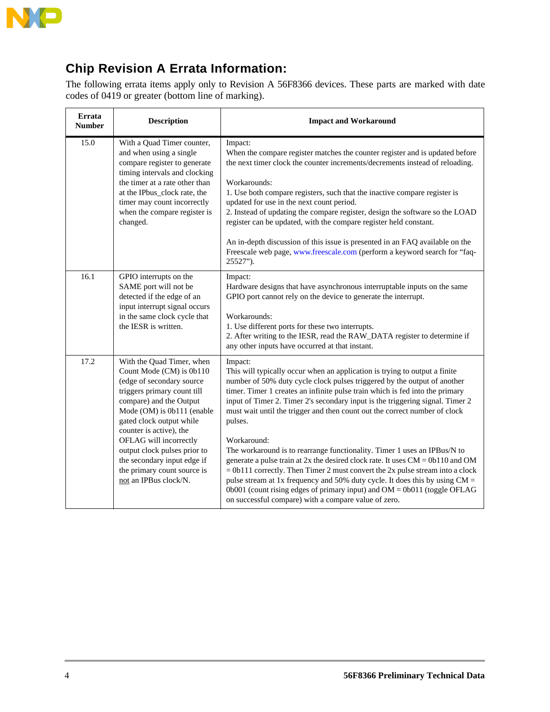

The following errata items apply only to Revision A 56F8366 devices. These parts are marked with date codes of 0419 or greater (bottom line of marking).

| Errata<br><b>Number</b> | <b>Description</b>                                                                                                                                                                                                                                                                                                                                                                 | <b>Impact and Workaround</b>                                                                                                                                                                                                                                                                                                                                                                                                                                                                                                                                                                                                                                                                                                                                                                                                                                                                                           |
|-------------------------|------------------------------------------------------------------------------------------------------------------------------------------------------------------------------------------------------------------------------------------------------------------------------------------------------------------------------------------------------------------------------------|------------------------------------------------------------------------------------------------------------------------------------------------------------------------------------------------------------------------------------------------------------------------------------------------------------------------------------------------------------------------------------------------------------------------------------------------------------------------------------------------------------------------------------------------------------------------------------------------------------------------------------------------------------------------------------------------------------------------------------------------------------------------------------------------------------------------------------------------------------------------------------------------------------------------|
| 15.0                    | With a Quad Timer counter,<br>and when using a single<br>compare register to generate<br>timing intervals and clocking<br>the timer at a rate other than<br>at the IPbus_clock rate, the<br>timer may count incorrectly<br>when the compare register is<br>changed.                                                                                                                | Impact:<br>When the compare register matches the counter register and is updated before<br>the next timer clock the counter increments/decrements instead of reloading.<br>Workarounds:<br>1. Use both compare registers, such that the inactive compare register is<br>updated for use in the next count period.<br>2. Instead of updating the compare register, design the software so the LOAD<br>register can be updated, with the compare register held constant.<br>An in-depth discussion of this issue is presented in an FAQ available on the<br>Freescale web page, www.freescale.com (perform a keyword search for "faq-<br>25527").                                                                                                                                                                                                                                                                        |
| 16.1                    | GPIO interrupts on the<br>SAME port will not be<br>detected if the edge of an<br>input interrupt signal occurs<br>in the same clock cycle that<br>the IESR is written.                                                                                                                                                                                                             | Impact:<br>Hardware designs that have asynchronous interruptable inputs on the same<br>GPIO port cannot rely on the device to generate the interrupt.<br>Workarounds:<br>1. Use different ports for these two interrupts.<br>2. After writing to the IESR, read the RAW_DATA register to determine if<br>any other inputs have occurred at that instant.                                                                                                                                                                                                                                                                                                                                                                                                                                                                                                                                                               |
| 17.2                    | With the Quad Timer, when<br>Count Mode (CM) is 0b110<br>(edge of secondary source<br>triggers primary count till<br>compare) and the Output<br>Mode (OM) is 0b111 (enable<br>gated clock output while<br>counter is active), the<br>OFLAG will incorrectly<br>output clock pulses prior to<br>the secondary input edge if<br>the primary count source is<br>not an IPBus clock/N. | Impact:<br>This will typically occur when an application is trying to output a finite<br>number of 50% duty cycle clock pulses triggered by the output of another<br>timer. Timer 1 creates an infinite pulse train which is fed into the primary<br>input of Timer 2. Timer 2's secondary input is the triggering signal. Timer 2<br>must wait until the trigger and then count out the correct number of clock<br>pulses.<br>Workaround:<br>The workaround is to rearrange functionality. Timer 1 uses an IPBus/N to<br>generate a pulse train at $2x$ the desired clock rate. It uses $CM = 0b110$ and OM<br>$= 0b111$ correctly. Then Timer 2 must convert the 2x pulse stream into a clock<br>pulse stream at 1x frequency and 50% duty cycle. It does this by using $CM =$<br>0b001 (count rising edges of primary input) and $OM = 0b011$ (toggle OFLAG<br>on successful compare) with a compare value of zero. |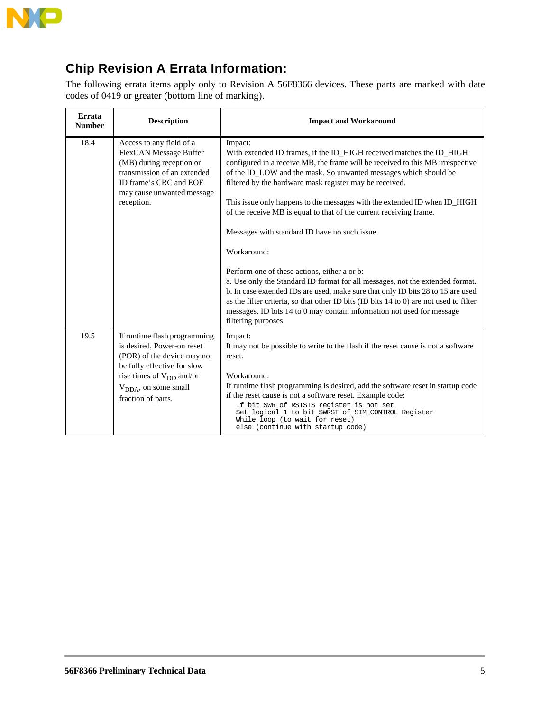

The following errata items apply only to Revision A 56F8366 devices. These parts are marked with date codes of 0419 or greater (bottom line of marking).

| Errata<br><b>Number</b> | <b>Description</b>                                                                                                                                                                                           | <b>Impact and Workaround</b>                                                                                                                                                                                                                                                                                                                                                                                                                                                                                                                                                                                                                                                                                                                                                                                                                                                                                                       |
|-------------------------|--------------------------------------------------------------------------------------------------------------------------------------------------------------------------------------------------------------|------------------------------------------------------------------------------------------------------------------------------------------------------------------------------------------------------------------------------------------------------------------------------------------------------------------------------------------------------------------------------------------------------------------------------------------------------------------------------------------------------------------------------------------------------------------------------------------------------------------------------------------------------------------------------------------------------------------------------------------------------------------------------------------------------------------------------------------------------------------------------------------------------------------------------------|
| 18.4                    | Access to any field of a<br>FlexCAN Message Buffer<br>(MB) during reception or<br>transmission of an extended<br>ID frame's CRC and EOF<br>may cause unwanted message<br>reception.                          | Impact:<br>With extended ID frames, if the ID_HIGH received matches the ID_HIGH<br>configured in a receive MB, the frame will be received to this MB irrespective<br>of the ID_LOW and the mask. So unwanted messages which should be<br>filtered by the hardware mask register may be received.<br>This issue only happens to the messages with the extended ID when ID_HIGH<br>of the receive MB is equal to that of the current receiving frame.<br>Messages with standard ID have no such issue.<br>Workaround:<br>Perform one of these actions, either a or b:<br>a. Use only the Standard ID format for all messages, not the extended format.<br>b. In case extended IDs are used, make sure that only ID bits 28 to 15 are used<br>as the filter criteria, so that other ID bits (ID bits 14 to 0) are not used to filter<br>messages. ID bits 14 to 0 may contain information not used for message<br>filtering purposes. |
| 19.5                    | If runtime flash programming<br>is desired, Power-on reset<br>(POR) of the device may not<br>be fully effective for slow<br>rise times of $V_{DD}$ and/or<br>$V_{DDA}$ , on some small<br>fraction of parts. | Impact:<br>It may not be possible to write to the flash if the reset cause is not a software<br>reset.<br>Workaround:<br>If runtime flash programming is desired, add the software reset in startup code<br>if the reset cause is not a software reset. Example code:<br>If bit SWR of RSTSTS register is not set<br>Set logical 1 to bit SWRST of SIM_CONTROL Register<br>While loop (to wait for reset)<br>else (continue with startup code)                                                                                                                                                                                                                                                                                                                                                                                                                                                                                     |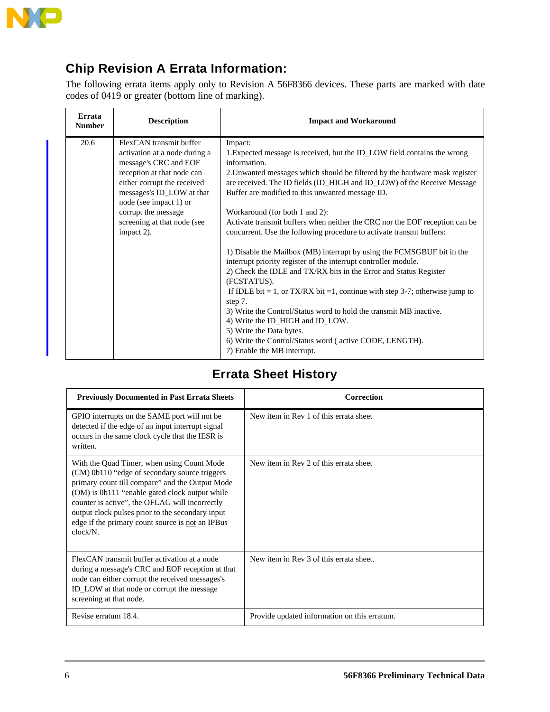

The following errata items apply only to Revision A 56F8366 devices. These parts are marked with date codes of 0419 or greater (bottom line of marking).

| Errata<br><b>Number</b> | <b>Description</b>                                                                                                                                                                                                                                                        | <b>Impact and Workaround</b>                                                                                                                                                                                                                                                                                                                                                                                                                                                                                                                                                                                                                                                                                                                                                                                                                                                                                                                                                                                                                                          |
|-------------------------|---------------------------------------------------------------------------------------------------------------------------------------------------------------------------------------------------------------------------------------------------------------------------|-----------------------------------------------------------------------------------------------------------------------------------------------------------------------------------------------------------------------------------------------------------------------------------------------------------------------------------------------------------------------------------------------------------------------------------------------------------------------------------------------------------------------------------------------------------------------------------------------------------------------------------------------------------------------------------------------------------------------------------------------------------------------------------------------------------------------------------------------------------------------------------------------------------------------------------------------------------------------------------------------------------------------------------------------------------------------|
| 20.6                    | FlexCAN transmit buffer<br>activation at a node during a<br>message's CRC and EOF<br>reception at that node can<br>either corrupt the received<br>messages's ID_LOW at that<br>node (see impact 1) or<br>corrupt the message<br>screening at that node (see<br>impact 2). | Impact:<br>1. Expected message is received, but the ID LOW field contains the wrong<br>information.<br>2. Unwanted messages which should be filtered by the hardware mask register<br>are received. The ID fields (ID_HIGH and ID_LOW) of the Receive Message<br>Buffer are modified to this unwanted message ID.<br>Workaround (for both 1 and 2):<br>Activate transmit buffers when neither the CRC nor the EOF reception can be<br>concurrent. Use the following procedure to activate transmt buffers:<br>1) Disable the Mailbox (MB) interrupt by using the FCMSGBUF bit in the<br>interrupt priority register of the interrupt controller module.<br>2) Check the IDLE and TX/RX bits in the Error and Status Register<br>(FCSTATUS).<br>If IDLE bit = 1, or TX/RX bit =1, continue with step 3-7; otherwise jump to<br>step 7.<br>3) Write the Control/Status word to hold the transmit MB inactive.<br>4) Write the ID_HIGH and ID_LOW.<br>5) Write the Data bytes.<br>6) Write the Control/Status word (active CODE, LENGTH).<br>7) Enable the MB interrupt. |

### **Errata Sheet History**

| <b>Previously Documented in Past Errata Sheets</b>                                                                                                                                                                                                                                                                                                                     | Correction                                   |
|------------------------------------------------------------------------------------------------------------------------------------------------------------------------------------------------------------------------------------------------------------------------------------------------------------------------------------------------------------------------|----------------------------------------------|
| GPIO interrupts on the SAME port will not be<br>detected if the edge of an input interrupt signal<br>occurs in the same clock cycle that the IESR is<br>written.                                                                                                                                                                                                       | New item in Rev 1 of this errata sheet       |
| With the Quad Timer, when using Count Mode<br>(CM) 0b110 "edge of secondary source triggers<br>primary count till compare" and the Output Mode<br>(OM) is 0b111 "enable gated clock output while<br>counter is active", the OFLAG will incorrectly<br>output clock pulses prior to the secondary input<br>edge if the primary count source is not an IPBus<br>clock/N. | New item in Rev 2 of this errata sheet       |
| FlexCAN transmit buffer activation at a node<br>during a message's CRC and EOF reception at that<br>node can either corrupt the received messages's<br>ID_LOW at that node or corrupt the message<br>screening at that node.                                                                                                                                           | New item in Rev 3 of this errata sheet.      |
| Revise erratum 18.4.                                                                                                                                                                                                                                                                                                                                                   | Provide updated information on this erratum. |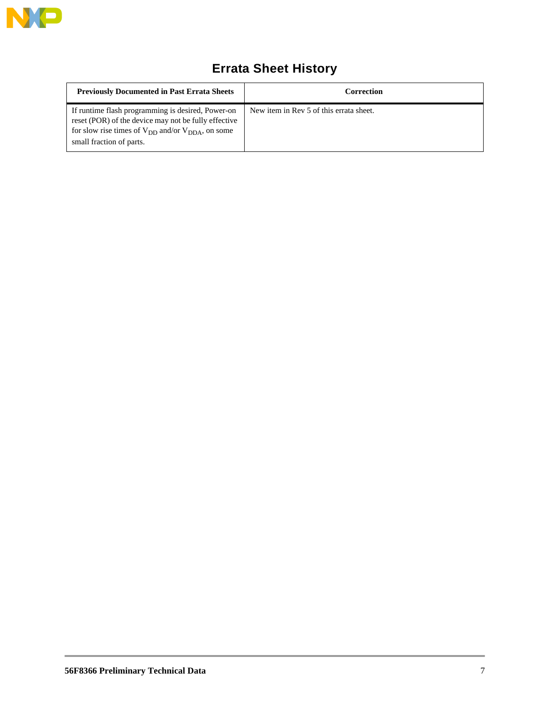

### **Errata Sheet History**

| <b>Previously Documented in Past Errata Sheets</b>                                                                                                                                                  | Correction                              |
|-----------------------------------------------------------------------------------------------------------------------------------------------------------------------------------------------------|-----------------------------------------|
| If runtime flash programming is desired, Power-on<br>reset (POR) of the device may not be fully effective<br>for slow rise times of $V_{DD}$ and/or $V_{DDA}$ , on some<br>small fraction of parts. | New item in Rev 5 of this errata sheet. |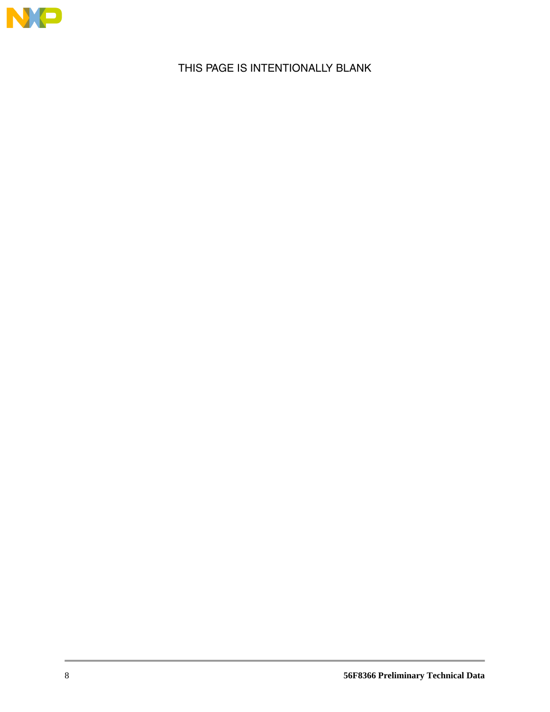

#### THIS PAGE IS INTENTIONALLY BLANK